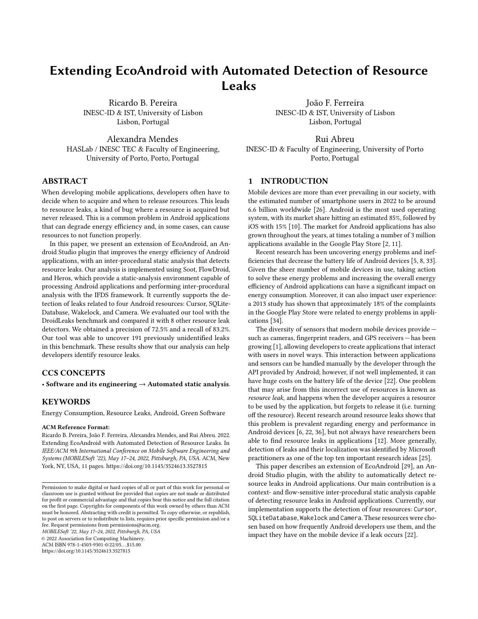# Extending EcoAndroid with Automated Detection of Resource Leaks

Ricardo B. Pereira INESC-ID & IST, University of Lisbon Lisbon, Portugal

Alexandra Mendes HASLab / INESC TEC & Faculty of Engineering, University of Porto, Porto, Portugal

## ABSTRACT

When developing mobile applications, developers often have to decide when to acquire and when to release resources. This leads to resource leaks, a kind of bug where a resource is acquired but never released. This is a common problem in Android applications that can degrade energy efficiency and, in some cases, can cause resources to not function properly.

In this paper, we present an extension of EcoAndroid, an Android Studio plugin that improves the energy efficiency of Android applications, with an inter-procedural static analysis that detects resource leaks. Our analysis is implemented using Soot, FlowDroid, and Heros, which provide a static-analysis environment capable of processing Android applications and performing inter-procedural analysis with the IFDS framework. It currently supports the detection of leaks related to four Android resources: Cursor, SQLite-Database, Wakelock, and Camera. We evaluated our tool with the DroidLeaks benchmark and compared it with 8 other resource leak detectors. We obtained a precision of 72.5% and a recall of 83.2%. Our tool was able to uncover 191 previously unidentified leaks in this benchmark. These results show that our analysis can help developers identify resource leaks.

# CCS CONCEPTS

• Software and its engineering  $\rightarrow$  Automated static analysis.

## **KEYWORDS**

Energy Consumption, Resource Leaks, Android, Green Software

#### ACM Reference Format:

Ricardo B. Pereira, João F. Ferreira, Alexandra Mendes, and Rui Abreu. 2022. Extending EcoAndroid with Automated Detection of Resource Leaks. In IEEE/ACM 9th International Conference on Mobile Software Engineering and Systems (MOBILESoft '22), May 17–24, 2022, Pittsburgh, PA, USA. ACM, New York, NY, USA, [11](#page-10-0) pages.<https://doi.org/10.1145/3524613.3527815>

MOBILESoft '22, May 17–24, 2022, Pittsburgh, PA, USA

© 2022 Association for Computing Machinery. ACM ISBN 978-1-4503-9301-0/22/05. . . \$15.00

<https://doi.org/10.1145/3524613.3527815>

João F. Ferreira INESC-ID & IST, University of Lisbon Lisbon, Portugal

Rui Abreu INESC-ID & Faculty of Engineering, University of Porto Porto, Portugal

## 1 INTRODUCTION

Mobile devices are more than ever prevailing in our society, with the estimated number of smartphone users in 2022 to be around 6.6 billion worldwide [\[26\]](#page-10-1). Android is the most used operating system, with its market share hitting an estimated 85%, followed by iOS with 15% [\[10\]](#page-10-2). The market for Android applications has also grown throughout the years, at times totaling a number of 3 million applications available in the Google Play Store [\[2,](#page-10-3) [11\]](#page-10-4).

Recent research has been uncovering energy problems and inefficiencies that decrease the battery life of Android devices [\[5,](#page-10-5) [8,](#page-10-6) [33\]](#page-10-7). Given the sheer number of mobile devices in use, taking action to solve these energy problems and increasing the overall energy efficiency of Android applications can have a significant impact on energy consumption. Moreover, it can also impact user experience: a 2013 study has shown that approximately 18% of the complaints in the Google Play Store were related to energy problems in applications [\[34\]](#page-10-8).

The diversity of sensors that modern mobile devices provide such as cameras, fingerprint readers, and GPS receivers — has been growing [\[1\]](#page-10-9), allowing developers to create applications that interact with users in novel ways. This interaction between applications and sensors can be handled manually by the developer through the API provided by Android; however, if not well implemented, it can have huge costs on the battery life of the device [\[22\]](#page-10-10). One problem that may arise from this incorrect use of resources is known as resource leak, and happens when the developer acquires a resource to be used by the application, but forgets to release it (i.e. turning off the resource). Recent research around resource leaks shows that this problem is prevalent regarding energy and performance in Android devices [\[6,](#page-10-11) [22,](#page-10-10) [36\]](#page-10-12), but not always have researchers been able to find resource leaks in applications [\[12\]](#page-10-13). More generally, detection of leaks and their localization was identified by Microsoft practitioners as one of the top ten important research ideas [\[25\]](#page-10-14).

This paper describes an extension of EcoAndroid [\[29\]](#page-10-15), an Android Studio plugin, with the ability to automatically detect resource leaks in Android applications. Our main contribution is a context- and flow-sensitive inter-procedural static analysis capable of detecting resource leaks in Android applications. Currently, our implementation supports the detection of four resources: Cursor, SQLiteDatabase, Wakelock and Camera. These resources were chosen based on how frequently Android developers use them, and the impact they have on the mobile device if a leak occurs [\[22\]](#page-10-10).

Permission to make digital or hard copies of all or part of this work for personal or classroom use is granted without fee provided that copies are not made or distributed for profit or commercial advantage and that copies bear this notice and the full citation on the first page. Copyrights for components of this work owned by others than ACM must be honored. Abstracting with credit is permitted. To copy otherwise, or republish, to post on servers or to redistribute to lists, requires prior specific permission and/or a fee. Request permissions from permissions@acm.org.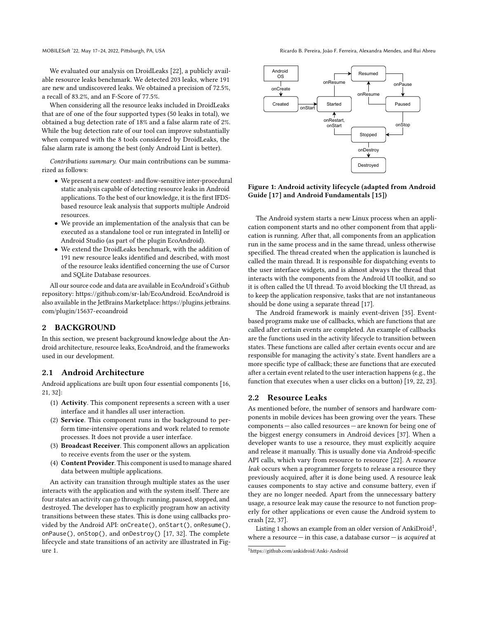MOBILESoft '22, May 17-24, 2022, Pittsburgh, PA, USA Ricardo B. Pereira, João F. Ferreira, Alexandra Mendes, and Rui Abreu

We evaluated our analysis on DroidLeaks [\[22\]](#page-10-10), a publicly available resource leaks benchmark. We detected 203 leaks, where 191 are new and undiscovered leaks. We obtained a precision of 72.5%, a recall of 83.2%, and an F-Score of 77.5%.

When considering all the resource leaks included in DroidLeaks that are of one of the four supported types (50 leaks in total), we obtained a bug detection rate of 18% and a false alarm rate of 2%. While the bug detection rate of our tool can improve substantially when compared with the 8 tools considered by DroidLeaks, the false alarm rate is among the best (only Android Lint is better).

Contributions summary. Our main contributions can be summarized as follows:

- We present a new context- and flow-sensitive inter-procedural static analysis capable of detecting resource leaks in Android applications. To the best of our knowledge, it is the first IFDSbased resource leak analysis that supports multiple Android resources.
- We provide an implementation of the analysis that can be executed as a standalone tool or run integrated in IntelliJ or Android Studio (as part of the plugin EcoAndroid).
- We extend the DroidLeaks benchmark, with the addition of 191 new resource leaks identified and described, with most of the resource leaks identified concerning the use of Cursor and SQLite Database resources.

All our source code and data are available in EcoAndroid's Github repository: [https://github.com/sr-lab/EcoAndroid.](https://github.com/sr-lab/EcoAndroid) EcoAndroid is also available in the JetBrains Marketplace: [https://plugins.jetbrains.](https://plugins.jetbrains.com/plugin/15637-ecoandroid) [com/plugin/15637-ecoandroid](https://plugins.jetbrains.com/plugin/15637-ecoandroid)

## 2 BACKGROUND

In this section, we present background knowledge about the Android architecture, resource leaks, EcoAndroid, and the frameworks used in our development.

## 2.1 Android Architecture

Android applications are built upon four essential components [\[16,](#page-10-16) [21,](#page-10-17) [32\]](#page-10-18):

- (1) Activity. This component represents a screen with a user interface and it handles all user interaction.
- (2) Service. This component runs in the background to perform time-intensive operations and work related to remote processes. It does not provide a user interface.
- (3) Broadcast Receiver. This component allows an application to receive events from the user or the system.
- (4) Content Provider. This component is used to manage shared data between multiple applications.

An activity can transition through multiple states as the user interacts with the application and with the system itself. There are four states an activity can go through: running, paused, stopped, and destroyed. The developer has to explicitly program how an activity transitions between these states. This is done using callbacks provided by the Android API: onCreate(), onStart(), onResume(), onPause(), onStop(), and onDestroy() [\[17,](#page-10-19) [32\]](#page-10-18). The complete lifecycle and state transitions of an activity are illustrated in Figure [1.](#page-1-0)

<span id="page-1-0"></span>

Figure 1: Android activity lifecycle (adapted from Android Guide [\[17\]](#page-10-19) and Android Fundamentals [\[15\]](#page-10-20))

The Android system starts a new Linux process when an application component starts and no other component from that application is running. After that, all components from an application run in the same process and in the same thread, unless otherwise specified. The thread created when the application is launched is called the main thread. It is responsible for dispatching events to the user interface widgets, and is almost always the thread that interacts with the components from the Android UI toolkit, and so it is often called the UI thread. To avoid blocking the UI thread, as to keep the application responsive, tasks that are not instantaneous should be done using a separate thread [\[17\]](#page-10-19).

The Android framework is mainly event-driven [\[35\]](#page-10-21). Eventbased programs make use of callbacks, which are functions that are called after certain events are completed. An example of callbacks are the functions used in the activity lifecycle to transition between states. These functions are called after certain events occur and are responsible for managing the activity's state. Event handlers are a more specific type of callback; these are functions that are executed after a certain event related to the user interaction happens (e.g., the function that executes when a user clicks on a button) [\[19,](#page-10-22) [22,](#page-10-10) [23\]](#page-10-23).

### 2.2 Resource Leaks

As mentioned before, the number of sensors and hardware components in mobile devices has been growing over the years. These components — also called resources — are known for being one of the biggest energy consumers in Android devices [\[37\]](#page-10-24). When a developer wants to use a resource, they must explicitly acquire and release it manually. This is usually done via Android-specific API calls, which vary from resource to resource [\[22\]](#page-10-10). A resource leak occurs when a programmer forgets to release a resource they previously acquired, after it is done being used. A resource leak causes components to stay active and consume battery, even if they are no longer needed. Apart from the unnecessary battery usage, a resource leak may cause the resource to not function properly for other applications or even cause the Android system to crash [\[22,](#page-10-10) [37\]](#page-10-24).

Listing [1](#page-2-0) shows an example from an older version of AnkiDroid $^1,$  $^1,$  $^1,$ where a resource  $-$  in this case, a database cursor  $-$  is *acquired* at

<span id="page-1-1"></span><sup>1</sup><https://github.com/ankidroid/Anki-Android>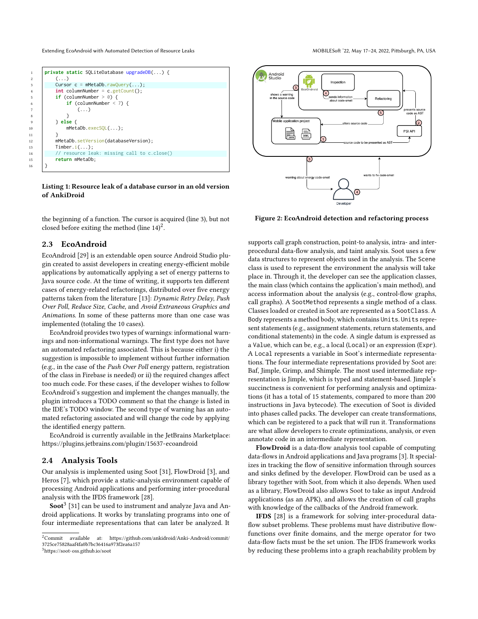<span id="page-2-0"></span>Extending EcoAndroid with Automated Detection of Resource Leaks MOBILESoft '22, May 17-24, 2022, Pittsburgh, PA, USA

1 **private static** SQLiteDatabase upgradeDB(...) { 2  $(\ldots)$  $3$  Cursor c = mMetaDb.rawQuery(...); 4 **int** columnNumber = c.getCount(); 5 **if** (columnNumber  $> 0$ ) { 6  $if (columnNumber < 7)$  $( \, . \, . \, . \, )$ 8 } 9 } **else** { 10 mMetaDb.execSQL(...); 11 | } 12 mMetaDb.setVersion(databaseVersion); 13 | Timber.i(...);<br>14 | // resource leak: missing call to c.close() 15 **return** mMetaDb;

Listing 1: Resource leak of a database cursor in an old version of AnkiDroid

the beginning of a function. The cursor is acquired (line 3), but not closed before exiting the method (line  $14)^2$  $14)^2$ .

## 2.3 EcoAndroid

16 }

EcoAndroid [\[29\]](#page-10-15) is an extendable open source Android Studio plugin created to assist developers in creating energy-efficient mobile applications by automatically applying a set of energy patterns to Java source code. At the time of writing, it supports ten different cases of energy-related refactorings, distributed over five energy patterns taken from the literature [\[13\]](#page-10-25): Dynamic Retry Delay, Push Over Poll, Reduce Size, Cache, and Avoid Extraneous Graphics and Animations. In some of these patterns more than one case was implemented (totaling the 10 cases).

EcoAndroid provides two types of warnings: informational warnings and non-informational warnings. The first type does not have an automated refactoring associated. This is because either i) the suggestion is impossible to implement without further information (e.g., in the case of the Push Over Poll energy pattern, registration of the class in Firebase is needed) or ii) the required changes affect too much code. For these cases, if the developer wishes to follow EcoAndroid's suggestion and implement the changes manually, the plugin introduces a TODO comment so that the change is listed in the IDE's TODO window. The second type of warning has an automated refactoring associated and will change the code by applying the identified energy pattern.

EcoAndroid is currently available in the JetBrains Marketplace: <https://plugins.jetbrains.com/plugin/15637-ecoandroid>

## 2.4 Analysis Tools

Our analysis is implemented using Soot [\[31\]](#page-10-26), FlowDroid [\[3\]](#page-10-27), and Heros [\[7\]](#page-10-28), which provide a static-analysis environment capable of processing Android applications and performing inter-procedural analysis with the IFDS framework [\[28\]](#page-10-29).

 $\mathbf{Soot}^3 \; [31]$  $\mathbf{Soot}^3 \; [31]$  $\mathbf{Soot}^3 \; [31]$  $\mathbf{Soot}^3 \; [31]$  can be used to instrument and analyze Java and Android applications. It works by translating programs into one of four intermediate representations that can later be analyzed. It

<span id="page-2-2"></span><sup>3</sup><https://soot-oss.github.io/soot>



Figure 2: EcoAndroid detection and refactoring process

supports call graph construction, point-to analysis, intra- and interprocedural data-flow analysis, and taint analysis. Soot uses a few data structures to represent objects used in the analysis. The Scene class is used to represent the environment the analysis will take place in. Through it, the developer can see the application classes, the main class (which contains the application's main method), and access information about the analysis (e.g., control-flow graphs, call graphs). A SootMethod represents a single method of a class. Classes loaded or created in Soot are represented as a SootClass. A Body represents a method body, which contains Units. Units represent statements (e.g., assignment statements, return statements, and conditional statements) in the code. A single datum is expressed as a Value, which can be, e.g., a local (Local) or an expression (Expr). A Local represents a variable in Soot's intermediate representations. The four intermediate representations provided by Soot are: Baf, Jimple, Grimp, and Shimple. The most used intermediate representation is Jimple, which is typed and statement-based. Jimple's succinctness is convenient for performing analysis and optimizations (it has a total of 15 statements, compared to more than 200 instructions in Java bytecode). The execution of Soot is divided into phases called packs. The developer can create transformations, which can be registered to a pack that will run it. Transformations are what allow developers to create optimizations, analysis, or even annotate code in an intermediate representation.

FlowDroid is a data-flow analysis tool capable of computing data-flows in Android applications and Java programs [\[3\]](#page-10-27). It specializes in tracking the flow of sensitive information through sources and sinks defined by the developer. FlowDroid can be used as a library together with Soot, from which it also depends. When used as a library, FlowDroid also allows Soot to take as input Android applications (as an APK), and allows the creation of call graphs with knowledge of the callbacks of the Android framework.

IFDS [\[28\]](#page-10-29) is a framework for solving inter-procedural dataflow subset problems. These problems must have distributive flowfunctions over finite domains, and the merge operator for two data-flow facts must be the set union. The IFDS framework works by reducing these problems into a graph reachability problem by

<span id="page-2-1"></span> $2$ Commit available at: [https://github.com/ankidroid/Anki-Android/commit/](https://github.com/ankidroid/Anki-Android/commit/3725ce75828aaf4fa0b7bc36416a973f2ea6a157) [3725ce75828aaf4fa0b7bc36416a973f2ea6a157](https://github.com/ankidroid/Anki-Android/commit/3725ce75828aaf4fa0b7bc36416a973f2ea6a157)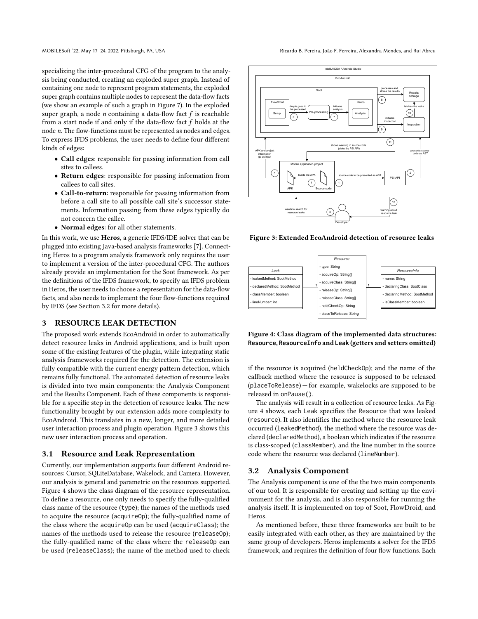MOBILESoft '22, May 17-24, 2022, Pittsburgh, PA, USA Ricardo B. Pereira, João F. Ferreira, Alexandra Mendes, and Rui Abreu

specializing the inter-procedural CFG of the program to the analysis being conducted, creating an exploded super graph. Instead of containing one node to represent program statements, the exploded super graph contains multiple nodes to represent the data-flow facts (we show an example of such a graph in Figure [7\)](#page-6-0). In the exploded super graph, a node *n* containing a data-flow fact  $f$  is reachable from a start node if and only if the data-flow fact  $f$  holds at the node n. The flow-functions must be represented as nodes and edges. To express IFDS problems, the user needs to define four different kinds of edges:

- Call edges: responsible for passing information from call sites to callees.
- Return edges: responsible for passing information from callees to call sites.
- Call-to-return: responsible for passing information from before a call site to all possible call site's successor statements. Information passing from these edges typically do not concern the callee.
- Normal edges: for all other statements.

In this work, we use Heros, a generic IFDS/IDE solver that can be plugged into existing Java-based analysis frameworks [\[7\]](#page-10-28). Connecting Heros to a program analysis framework only requires the user to implement a version of the inter-procedural CFG. The authors already provide an implementation for the Soot framework. As per the definitions of the IFDS framework, to specify an IFDS problem in Heros, the user needs to choose a representation for the data-flow facts, and also needs to implement the four flow-functions required by IFDS (see Section [3.2](#page-3-0) for more details).

## 3 RESOURCE LEAK DETECTION

The proposed work extends EcoAndroid in order to automatically detect resource leaks in Android applications, and is built upon some of the existing features of the plugin, while integrating static analysis frameworks required for the detection. The extension is fully compatible with the current energy pattern detection, which remains fully functional. The automated detection of resource leaks is divided into two main components: the Analysis Component and the Results Component. Each of these components is responsible for a specific step in the detection of resource leaks. The new functionality brought by our extension adds more complexity to EcoAndroid. This translates in a new, longer, and more detailed user interaction process and plugin operation. Figure [3](#page-3-1) shows this new user interaction process and operation.

## 3.1 Resource and Leak Representation

Currently, our implementation supports four different Android resources: Cursor, SQLiteDatabase, Wakelock, and Camera. However, our analysis is general and parametric on the resources supported. Figure [4](#page-3-2) shows the class diagram of the resource representation. To define a resource, one only needs to specify the fully-qualified class name of the resource (type); the names of the methods used to acquire the resource (acquireOp); the fully-qualified name of the class where the acquireOp can be used (acquireClass); the names of the methods used to release the resource (releaseOp); the fully-qualified name of the class where the releaseOp can be used (releaseClass); the name of the method used to check

<span id="page-3-1"></span>

Figure 3: Extended EcoAndroid detection of resource leaks

<span id="page-3-2"></span>

Figure 4: Class diagram of the implemented data structures: **Resource**, **ResourceInfo** and **Leak** (getters and setters omitted)

if the resource is acquired (heldCheckOp); and the name of the callback method where the resource is supposed to be released (placeToRelease) — for example, wakelocks are supposed to be released in onPause().

The analysis will result in a collection of resource leaks. As Figure [4](#page-3-2) shows, each Leak specifies the Resource that was leaked (resource). It also identifies the method where the resource leak occurred (leakedMethod), the method where the resource was declared (declaredMethod), a boolean which indicates if the resource is class-scoped (classMember), and the line number in the source code where the resource was declared (lineNumber).

## <span id="page-3-0"></span>3.2 Analysis Component

The Analysis component is one of the the two main components of our tool. It is responsible for creating and setting up the environment for the analysis, and is also responsible for running the analysis itself. It is implemented on top of Soot, FlowDroid, and Heros.

As mentioned before, these three frameworks are built to be easily integrated with each other, as they are maintained by the same group of developers. Heros implements a solver for the IFDS framework, and requires the definition of four flow functions. Each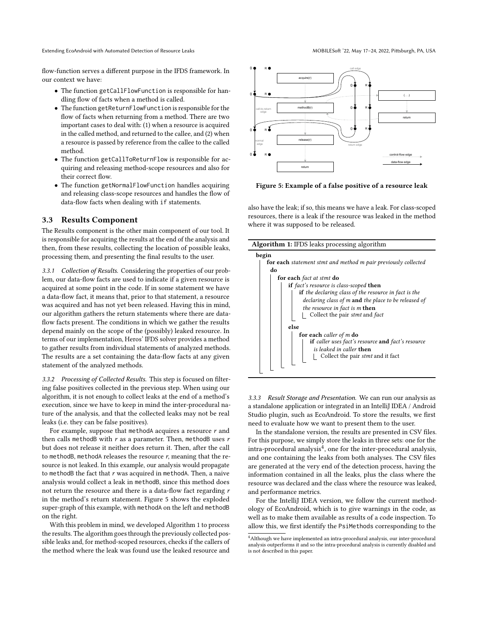Extending EcoAndroid with Automated Detection of Resource Leaks MOBILESoft '22, May 17-24, 2022, Pittsburgh, PA, USA

flow-function serves a different purpose in the IFDS framework. In our context we have:

- The function getCallFlowFunction is responsible for handling flow of facts when a method is called.
- The function getReturnFlowFunction is responsible for the flow of facts when returning from a method. There are two important cases to deal with: (1) when a resource is acquired in the called method, and returned to the callee, and (2) when a resource is passed by reference from the callee to the called method.
- The function getCallToReturnFlow is responsible for acquiring and releasing method-scope resources and also for their correct flow.
- The function getNormalFlowFunction handles acquiring and releasing class-scope resources and handles the flow of data-flow facts when dealing with if statements.

## 3.3 Results Component

The Results component is the other main component of our tool. It is responsible for acquiring the results at the end of the analysis and then, from these results, collecting the location of possible leaks, processing them, and presenting the final results to the user.

3.3.1 Collection of Results. Considering the properties of our problem, our data-flow facts are used to indicate if a given resource is acquired at some point in the code. If in some statement we have a data-flow fact, it means that, prior to that statement, a resource was acquired and has not yet been released. Having this in mind, our algorithm gathers the return statements where there are dataflow facts present. The conditions in which we gather the results depend mainly on the scope of the (possibly) leaked resource. In terms of our implementation, Heros' IFDS solver provides a method to gather results from individual statements of analyzed methods. The results are a set containing the data-flow facts at any given statement of the analyzed methods.

3.3.2 Processing of Collected Results. This step is focused on filtering false positives collected in the previous step. When using our algorithm, it is not enough to collect leaks at the end of a method's execution, since we have to keep in mind the inter-procedural nature of the analysis, and that the collected leaks may not be real leaks (i.e. they can be false positives).

For example, suppose that methodA acquires a resource  $r$  and then calls methodB with  $r$  as a parameter. Then, methodB uses  $r$ but does not release it neither does return it. Then, after the call to methodB, methodA releases the resource  $r$ , meaning that the resource is not leaked. In this example, our analysis would propagate to methodB the fact that  $r$  was acquired in methodA. Then, a naive analysis would collect a leak in methodB, since this method does not return the resource and there is a data-flow fact regarding r in the method's return statement. Figure [5](#page-4-0) shows the exploded super-graph of this example, with methodA on the left and methodB on the right.

With this problem in mind, we developed Algorithm [1](#page-4-1) to process the results. The algorithm goes through the previously collected possible leaks and, for method-scoped resources, checks if the callers of the method where the leak was found use the leaked resource and

<span id="page-4-0"></span>

Figure 5: Example of a false positive of a resource leak

also have the leak; if so, this means we have a leak. For class-scoped resources, there is a leak if the resource was leaked in the method where it was supposed to be released.

| <b>Algorithm 1:</b> IFDS leaks processing algorithm            |  |  |  |
|----------------------------------------------------------------|--|--|--|
| begin                                                          |  |  |  |
| for each statement stmt and method m pair previously collected |  |  |  |
| do                                                             |  |  |  |
| for each fact at stmt do                                       |  |  |  |
| <b>if</b> fact's resource is class-scoped <b>then</b>          |  |  |  |
| <b>if</b> the declaring class of the resource in fact is the   |  |  |  |
| declaring class of m and the place to be released of           |  |  |  |
| the resource in fact is m then                                 |  |  |  |
| Collect the pair stmt and fact                                 |  |  |  |
| else                                                           |  |  |  |
| for each caller of m do                                        |  |  |  |
| if caller uses fact's resource and fact's resource             |  |  |  |
| is leaked in caller <b>then</b>                                |  |  |  |
| Collect the pair stmt and it fact                              |  |  |  |
|                                                                |  |  |  |
|                                                                |  |  |  |
|                                                                |  |  |  |

<span id="page-4-1"></span>3.3.3 Result Storage and Presentation. We can run our analysis as a standalone application or integrated in an IntelliJ IDEA / Android Studio plugin, such as EcoAndroid. To store the results, we first need to evaluate how we want to present them to the user.

In the standalone version, the results are presented in CSV files. For this purpose, we simply store the leaks in three sets: one for the intra-procedural analysis $^4$  $^4$ , one for the inter-procedural analysis, and one containing the leaks from both analyses. The CSV files are generated at the very end of the detection process, having the information contained in all the leaks, plus the class where the resource was declared and the class where the resource was leaked, and performance metrics.

For the IntelliJ IDEA version, we follow the current methodology of EcoAndroid, which is to give warnings in the code, as well as to make them available as results of a code inspection. To allow this, we first identify the PsiMethods corresponding to the

<span id="page-4-2"></span> $^4\!$  Although we have implemented an intra-procedural analysis, our inter-procedural analysis outperforms it and so the intra-procedural analysis is currently disabled and is not described in this paper.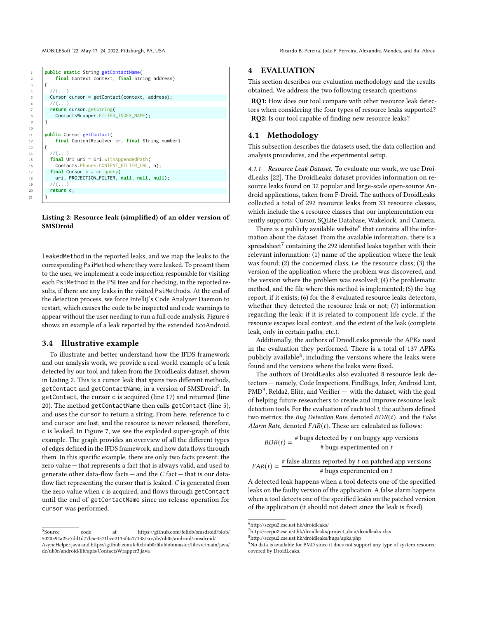<span id="page-5-0"></span>MOBILESoft '22, May 17-24, 2022, Pittsburgh, PA, USA Ricardo B. Pereira, João F. Ferreira, Alexandra Mendes, and Rui Abreu



Listing 2: Resource leak (simplified) of an older version of **SMSDroid** 

leakedMethod in the reported leaks, and we map the leaks to the corresponding PsiMethod where they were leaked. To present them to the user, we implement a code inspection responsible for visiting each PsiMethod in the PSI tree and for checking, in the reported results, if there are any leaks in the visited PsiMethods. At the end of the detection process, we force IntelliJ's Code Analyzer Daemon to restart, which causes the code to be inspected and code warnings to appear without the user needing to run a full code analysis. Figure [6](#page-6-1) shows an example of a leak reported by the extended EcoAndroid.

## 3.4 Illustrative example

To illustrate and better understand how the IFDS framework and our analysis work, we provide a real-world example of a leak detected by our tool and taken from the DroidLeaks dataset, shown in Listing [2.](#page-5-0) This is a cursor leak that spans two different methods, getContact and getContactName, in a version of SMSDroid<sup>[5](#page-5-1)</sup>. In getContact, the cursor c is acquired (line 17) and returned (line 20). The method getContactName then calls getContact (line 5), and uses the cursor to return a string. From here, reference to c and cursor are lost, and the resource is never released, therefore, c is leaked. In Figure [7,](#page-6-0) we see the exploded super-graph of this example. The graph provides an overview of all the different types of edges defined in the IFDS framework, and how data flows through them. In this specific example, there are only two facts present: the zero value — that represents a fact that is always valid, and used to generate other data-flow facts — and the  $C$  fact — that is our dataflow fact representing the cursor that is leaked. C is generated from the zero value when c is acquired, and flows through getContact until the end of getContactName since no release operation for cursor was performed.

## 4 EVALUATION

This section describes our evaluation methodology and the results obtained. We address the two following research questions:

RQ1: How does our tool compare with other resource leak detectors when considering the four types of resource leaks supported? RQ2: Is our tool capable of finding new resource leaks?

## 4.1 Methodology

This subsection describes the datasets used, the data collection and analysis procedures, and the experimental setup.

4.1.1 Resource Leak Dataset. To evaluate our work, we use DroidLeaks [\[22\]](#page-10-10). The DroidLeaks dataset provides information on resource leaks found on 32 popular and large-scale open-source Android applications, taken from F-Droid. The authors of DroidLeaks collected a total of 292 resource leaks from 33 resource classes, which include the 4 resource classes that our implementation currently supports: Cursor, SQLite Database, Wakelock, and Camera.

There is a publicly available website $^6$  $^6$  that contains all the information about the dataset. From the available information, there is a spreadsheet $^7$  $^7$  containing the 292 identified leaks together with their relevant information: (1) name of the application where the leak was found; (2) the concerned class, i.e. the resource class; (3) the version of the application where the problem was discovered, and the version where the problem was resolved; (4) the problematic method, and the file where this method is implemented; (5) the bug report, if it exists; (6) for the 8 evaluated resource leaks detectors, whether they detected the resource leak or not; (7) information regarding the leak: if it is related to component life cycle, if the resource escapes local context, and the extent of the leak (complete leak, only in certain paths, etc.).

Additionally, the authors of DroidLeaks provide the APKs used in the evaluation they performed. There is a total of 137 APKs publicly available $^8$  $^8$ , including the versions where the leaks were found and the versions where the leaks were fixed.

The authors of DroidLeaks also evaluated 8 resource leak detectors — namely, Code Inspections, FindBugs, Infer, Android Lint,  $\text{PMD}^9$  $\text{PMD}^9$ , Relda2, Elite, and Verifier  $-$  with the dataset, with the goal of helping future researchers to create and improve resource leak detection tools. For the evaluation of each tool  $t$ , the authors defined two metrics: the Bug Detection Rate, denoted  $BDR(t)$ , and the False Alarm Rate, denoted  $FAR(t)$ . These are calculated as follows:

$$
BDR(t) = \frac{\text{\# bugs detected by } t \text{ on buggy app versions}}{\text{\# bugs experimental on } t}
$$

$$
FAR(t) = \frac{\text{# false alarms reported by } t \text{ on patched app versions}}{\text{# bugs experienced on } t}
$$

A detected leak happens when a tool detects one of the specified leaks on the faulty version of the application. A false alarm happens when a tool detects one of the specified leaks on the patched version of the application (it should not detect since the leak is fixed).

<span id="page-5-1"></span> $^5$  Source code at [https://github.com/felixb/smsdroid/blob/](https://github.com/felixb/smsdroid/blob/5020594a25c7dd1d77b5e4571bce2135f4a17138/src/de/ub0r/android/smsdroid/AsyncHelper.java) [5020594a25c7dd1d77b5e4571bce2135f4a17138/src/de/ub0r/android/smsdroid/](https://github.com/felixb/smsdroid/blob/5020594a25c7dd1d77b5e4571bce2135f4a17138/src/de/ub0r/android/smsdroid/AsyncHelper.java) [AsyncHelper.java](https://github.com/felixb/smsdroid/blob/5020594a25c7dd1d77b5e4571bce2135f4a17138/src/de/ub0r/android/smsdroid/AsyncHelper.java) and [https://github.com/felixb/ub0rlib/blob/master/lib/src/main/java/](https://github.com/felixb/ub0rlib/blob/master/lib/src/main/java/de/ub0r/android/lib/apis/ContactsWrapper3.java) [de/ub0r/android/lib/apis/ContactsWrapper3.java](https://github.com/felixb/ub0rlib/blob/master/lib/src/main/java/de/ub0r/android/lib/apis/ContactsWrapper3.java)

<span id="page-5-3"></span><span id="page-5-2"></span><sup>6</sup><http://sccpu2.cse.ust.hk/droidleaks/>

 $^{7}$ [http://sccpu2.cse.ust.hk/droidleaks/project\\_data/droidleaks.xlsx](http://sccpu2.cse.ust.hk/droidleaks/project_data/droidleaks.xlsx)

<span id="page-5-4"></span><sup>8</sup><http://sccpu2.cse.ust.hk/droidleaks/bugs/apks.php>

<span id="page-5-5"></span><sup>&</sup>lt;sup>9</sup>No data is available for PMD since it does not support any type of system resource covered by DroidLeaks.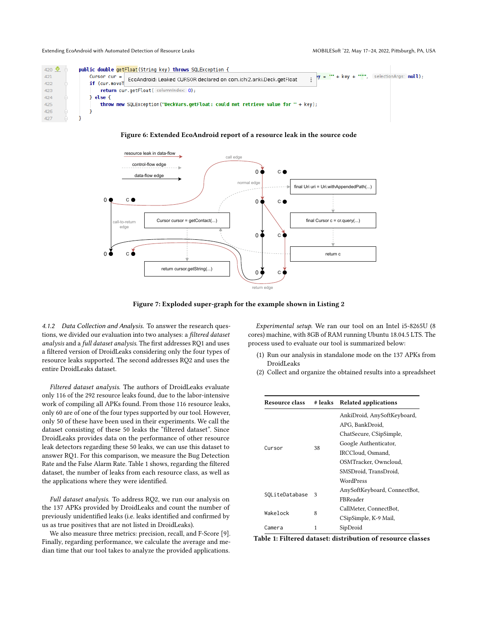<span id="page-6-1"></span>

| 420 $\mathbf{\Omega}$ | public double getFloat (String key) throws SQLException {                            |                                               |  |
|-----------------------|--------------------------------------------------------------------------------------|-----------------------------------------------|--|
| 421                   | $Cursor cur =$<br>EcoAndroid: Leaked CURSOR declared on com.ichi2.anki.Deck.getFloat | $y = '' + key + ''''$ , selectionArgs: null); |  |
| 422                   | if (cur.moveT                                                                        |                                               |  |
| 423                   | <b>return</b> cur.getFloat( $\lceil$ columnindex: $\lceil \theta \rceil$ );          |                                               |  |
| 424                   | else {                                                                               |                                               |  |
| 425                   | throw new SQLException("DeckVars.getFloat: could not retrieve value for " + $key$ ); |                                               |  |
| 426                   |                                                                                      |                                               |  |
| 427                   |                                                                                      |                                               |  |

#### Figure 6: Extended EcoAndroid report of a resource leak in the source code

<span id="page-6-0"></span>

Figure 7: Exploded super-graph for the example shown in Listing [2](#page-5-0)

4.1.2 Data Collection and Analysis. To answer the research questions, we divided our evaluation into two analyses: a filtered dataset analysis and a full dataset analysis. The first addresses RQ1 and uses a filtered version of DroidLeaks considering only the four types of resource leaks supported. The second addresses RQ2 and uses the entire DroidLeaks dataset.

Filtered dataset analysis. The authors of DroidLeaks evaluate only 116 of the 292 resource leaks found, due to the labor-intensive work of compiling all APKs found. From those 116 resource leaks, only 60 are of one of the four types supported by our tool. However, only 50 of these have been used in their experiments. We call the dataset consisting of these 50 leaks the "filtered dataset". Since DroidLeaks provides data on the performance of other resource leak detectors regarding these 50 leaks, we can use this dataset to answer RQ1. For this comparison, we measure the Bug Detection Rate and the False Alarm Rate. Table [1](#page-6-2) shows, regarding the filtered dataset, the number of leaks from each resource class, as well as the applications where they were identified.

Full dataset analysis. To address RQ2, we run our analysis on the 137 APKs provided by DroidLeaks and count the number of previously unidentified leaks (i.e. leaks identified and confirmed by us as true positives that are not listed in DroidLeaks).

We also measure three metrics: precision, recall, and F-Score [\[9\]](#page-10-30). Finally, regarding performance, we calculate the average and median time that our tool takes to analyze the provided applications.

Experimental setup. We ran our tool on an Intel i5-8265U (8 cores) machine, with 8GB of RAM running Ubuntu 18.04.5 LTS. The process used to evaluate our tool is summarized below:

- (1) Run our analysis in standalone mode on the 137 APKs from DroidLeaks
- (2) Collect and organize the obtained results into a spreadsheet

<span id="page-6-2"></span>

| <b>Resource class</b><br># leaks |    | <b>Related applications</b>  |  |
|----------------------------------|----|------------------------------|--|
|                                  |    | AnkiDroid, AnySoftKeyboard,  |  |
|                                  |    | APG, BankDroid,              |  |
|                                  |    | ChatSecure, CSipSimple,      |  |
|                                  |    | Google Authenticator,        |  |
| Cursor                           | 38 | IRCCloud. Osmand.            |  |
|                                  |    | OSMTracker, Owncloud,        |  |
|                                  |    | SMSDroid, TransDroid,        |  |
|                                  |    | WordPress                    |  |
|                                  | 3  | AnySoftKeyboard, ConnectBot, |  |
| SOLiteDatabase                   |    | FBReader                     |  |
|                                  | 8  | CallMeter, ConnectBot,       |  |
| Wakelock                         |    | CSipSimple, K-9 Mail,        |  |
| Camera                           | 1  | SipDroid                     |  |

Table 1: Filtered dataset: distribution of resource classes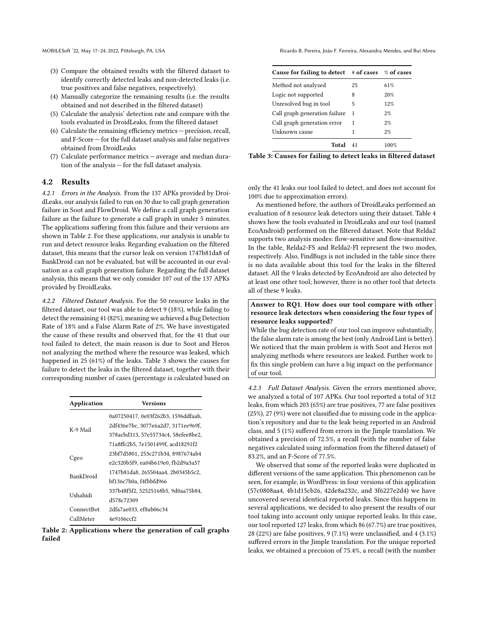- (3) Compare the obtained results with the filtered dataset to identify correctly detected leaks and non-detected leaks (i.e. true positives and false negatives, respectively).
- (4) Manually categorize the remaining results (i.e. the results obtained and not described in the filtered dataset)
- (5) Calculate the analysis' detection rate and compare with the tools evaluated in DroidLeaks, from the filtered dataset
- (6) Calculate the remaining efficiency metrics precision, recall, and F-Score — for the full dataset analysis and false negatives obtained from DroidLeaks
- (7) Calculate performance metrics average and median duration of the analysis — for the full dataset analysis.

## 4.2 Results

4.2.1 Errors in the Analysis. From the 137 APKs provided by DroidLeaks, our analysis failed to run on 30 due to call graph generation failure in Soot and FlowDroid. We define a call graph generation failure as the failure to generate a call graph in under 5 minutes. The applications suffering from this failure and their versions are shown in Table [2.](#page-7-0) For these applications, our analysis is unable to run and detect resource leaks. Regarding evaluation on the filtered dataset, this means that the cursor leak on version 1747b81da8 of BankDroid can not be evaluated, but will be accounted in our evaluation as a call graph generation failure. Regarding the full dataset analysis, this means that we only consider 107 out of the 137 APKs provided by DroidLeaks.

4.2.2 Filtered Dataset Analysis. For the 50 resource leaks in the filtered dataset, our tool was able to detect 9 (18%), while failing to detect the remaining 41 (82%), meaning we achieved a Bug Detection Rate of 18% and a False Alarm Rate of 2%. We have investigated the cause of these results and observed that, for the 41 that our tool failed to detect, the main reason is due to Soot and Heros not analyzing the method where the resource was leaked, which happened in 25 (61%) of the leaks. Table [3](#page-7-1) shows the causes for failure to detect the leaks in the filtered dataset, together with their corresponding number of cases (percentage is calculated based on

<span id="page-7-0"></span>

| Application      | Versions                            |
|------------------|-------------------------------------|
|                  | 0a07250417, 0e03f262b3, 1596ddfaab, |
| K-9 Mail         | 2df436e7bc. 3077e6a2d7. 3171ee969f. |
|                  | 378acbd313, 57e55734c4, 58efee8be2, |
|                  | 71a8ffc2b5, 7e1501499f, acd18291f2  |
|                  | 23bf7d5801, 253c271b34, 8987674ab4  |
| Cgeo             | e2c320b5f9, ea04b619e0, fb2d9a3a57  |
| <b>BankDroid</b> | 1747b81da8, 265504aa4, 2b0345b5c2,  |
|                  | bf136c7b0a. f4fbbfd966              |
| Ushahidi         | 337b48f5f2, 52525168b5, 9d0aa75b84, |
|                  | d578c72309                          |
| ConnectBot       | 2dfa7ae033, ef8ab06c34              |
| CallMeter        | 4e9106ccf2                          |

Table 2: Applications where the generation of call graphs failed

MOBILESoft '22, May 17-24, 2022, Pittsburgh, PA, USA Ricardo B. Pereira, João F. Ferreira, Alexandra Mendes, and Rui Abreu

<span id="page-7-1"></span>

| Cause for failing to detect $\#$ of cases $\%$ of cases |    |      |
|---------------------------------------------------------|----|------|
| Method not analyzed                                     | 25 | 61%  |
| Logic not supported                                     | 8  | 20%  |
| Unresolved bug in tool                                  | 5  | 12%  |
| Call graph generation failure                           | 1  | 2%   |
| Call graph generation error                             | 1  | 2%   |
| Unknown cause                                           | 1  | 2%   |
| Total                                                   |    | 100% |

Table 3: Causes for failing to detect leaks in filtered dataset

only the 41 leaks our tool failed to detect, and does not account for 100% due to approximation errors).

As mentioned before, the authors of DroidLeaks performed an evaluation of 8 resource leak detectors using their dataset. Table [4](#page-8-0) shows how the tools evaluated in DroidLeaks and our tool (named EcoAndroid) performed on the filtered dataset. Note that Relda2 supports two analysis modes: flow-sensitive and flow-insensitive. In the table, Relda2-FS and Relda2-FI represent the two modes, respectively. Also, FindBugs is not included in the table since there is no data available about this tool for the leaks in the filtered dataset. All the 9 leaks detected by EcoAndroid are also detected by at least one other tool; however, there is no other tool that detects all of these 9 leaks.

## Answer to RQ1. How does our tool compare with other resource leak detectors when considering the four types of resource leaks supported?

While the bug detection rate of our tool can improve substantially, the false alarm rate is among the best (only Android Lint is better). We noticed that the main problem is with Soot and Heros not analyzing methods where resources are leaked. Further work to fix this single problem can have a big impact on the performance of our tool.

4.2.3 Full Dataset Analysis. Given the errors mentioned above, we analyzed a total of 107 APKs. Our tool reported a total of 312 leaks, from which 203 (65%) are true positives, 77 are false positives (25%), 27 (9%) were not classified due to missing code in the application's repository and due to the leak being reported in an Android class, and 5 (1%) suffered from errors in the Jimple translation. We obtained a precision of 72.5%, a recall (with the number of false negatives calculated using information from the filtered dataset) of 83.2%, and an F-Score of 77.5%.

We observed that some of the reported leaks were duplicated in different versions of the same application. This phenomenon can be seen, for example, in WordPress: in four versions of this application (57c0808aa4, 4b1d15cb26, 42de8a232c, and 3f6227e2d4) we have uncovered several identical reported leaks. Since this happens in several applications, we decided to also present the results of our tool taking into account only unique reported leaks. In this case, our tool reported 127 leaks, from which 86 (67.7%) are true positives, 28 (22%) are false positives, 9 (7.1%) were unclassified, and 4 (3.1%) suffered errors in the Jimple translation. For the unique reported leaks, we obtained a precision of 75.4%, a recall (with the number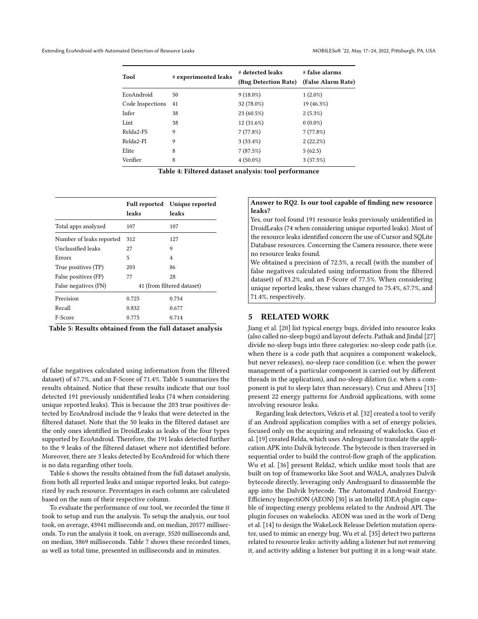<span id="page-8-0"></span>

| Tool             | # experimented leaks | # detected leaks<br>(Bug Detection Rate) | # false alarms<br>(False Alarm Rate) |  |
|------------------|----------------------|------------------------------------------|--------------------------------------|--|
| EcoAndroid       | 50                   | $9(18.0\%)$                              | $1(2.0\%)$                           |  |
| Code Inspections | 41                   | 32 (78.0%)                               | 19 (46.3%)                           |  |
| Infer            | 38                   | 23 (60.5%)                               | $2(5.3\%)$                           |  |
| Lint             | 38                   | 12 (31.6%)                               | $0(0.0\%)$                           |  |
| Relda2-FS        | 9                    | 7(77.8%)                                 | 7(77.8%)                             |  |
| Relda2-FI        | 9                    | $3(33.4\%)$                              | 2(22.2%)                             |  |
| Elite            | 8                    | 7(87.5%)                                 | 5(62.5)                              |  |
| Verifier         | 8                    | $4(50.0\%)$                              | 3(37.5%)                             |  |

Table 4: Filtered dataset analysis: tool performance

<span id="page-8-1"></span>

|                          | leaks                      | Full reported Unique reported<br>leaks |
|--------------------------|----------------------------|----------------------------------------|
| Total apps analyzed      | 107                        | 107                                    |
| Number of leaks reported | 312                        | 127                                    |
| Unclassified leaks       | 27                         | 9                                      |
| Errors                   | 5                          | 4                                      |
| True positives (TP)      | 203                        | 86                                     |
| False positives (FP)     | 77                         | 28                                     |
| False negatives (FN)     | 41 (from filtered dataset) |                                        |
| Precision                | 0.725                      | 0.754                                  |
| Recall                   | 0.832                      | 0.677                                  |
| F-Score                  | 0.775                      | 0.714                                  |

Table 5: Results obtained from the full dataset analysis

of false negatives calculated using information from the filtered dataset) of 67.7%, and an F-Score of 71.4%. Table [5](#page-8-1) summarizes the results obtained. Notice that these results indicate that our tool detected 191 previously unidentified leaks (74 when considering unique reported leaks). This is because the 203 true positives detected by EcoAndroid include the 9 leaks that were detected in the filtered dataset. Note that the 50 leaks in the filtered dataset are the only ones identified in DroidLeaks as leaks of the four types supported by EcoAndroid. Therefore, the 191 leaks detected further to the 9 leaks of the filtered dataset where not identified before. Moreover, there are 3 leaks detected by EcoAndroid for which there is no data regarding other tools.

Table [6](#page-9-0) shows the results obtained from the full dataset analysis, from both all reported leaks and unique reported leaks, but categorized by each resource. Percentages in each column are calculated based on the sum of their respective column.

To evaluate the performance of our tool, we recorded the time it took to setup and run the analysis. To setup the analysis, our tool took, on average, 43941 milliseconds and, on median, 20577 milliseconds. To run the analysis it took, on average, 3520 milliseconds and, on median, 3869 milliseconds. Table [7](#page-9-1) shows these recorded times, as well as total time, presented in milliseconds and in minutes.

## Answer to RQ2. Is our tool capable of finding new resource leaks?

Yes, our tool found 191 resource leaks previously unidentified in DroidLeaks (74 when considering unique reported leaks). Most of the resource leaks identified concern the use of Cursor and SQLite Database resources. Concerning the Camera resource, there were no resource leaks found.

We obtained a precision of 72.5%, a recall (with the number of false negatives calculated using information from the filtered dataset) of 83.2%, and an F-Score of 77.5%. When considering unique reported leaks, these values changed to 75.4%, 67.7%, and 71.4%, respectively.

## 5 RELATED WORK

Jiang et al. [\[20\]](#page-10-31) list typical energy bugs, divided into resource leaks (also called no-sleep bugs) and layout defects. Pathak and Jindal [\[27\]](#page-10-32) divide no-sleep bugs into three categories: no-sleep code path (i.e. when there is a code path that acquires a component wakelock, but never releases), no-sleep race condition (i.e. when the power management of a particular component is carried out by different threads in the application), and no-sleep dilation (i.e. when a component is put to sleep later than necessary). Cruz and Abreu [\[13\]](#page-10-25) present 22 energy patterns for Android applications, with some involving resource leaks.

Regarding leak detectors, Vekris et al. [\[32\]](#page-10-18) created a tool to verify if an Android application complies with a set of energy policies, focused only on the acquiring and releasing of wakelocks. Guo et al. [\[19\]](#page-10-22) created Relda, which uses Androguard to translate the application APK into Dalvik bytecode. The bytecode is then traversed in sequential order to build the control-flow graph of the application. Wu et al. [\[36\]](#page-10-12) present Relda2, which unlike most tools that are built on top of frameworks like Soot and WALA, analyzes Dalvik bytecode directly, leveraging only Androguard to disassemble the app into the Dalvik bytecode. The Automated Android Energy-Efficiency InspectiON (AEON) [\[30\]](#page-10-33) is an IntelliJ IDEA plugin capable of inspecting energy problems related to the Android API. The plugin focuses on wakelocks. AEON was used in the work of Deng et al. [\[14\]](#page-10-34) to design the WakeLock Release Deletion mutation operator, used to mimic an energy bug. Wu et al. [\[35\]](#page-10-21) detect two patterns related to resource leaks: activity adding a listener but not removing it, and activity adding a listener but putting it in a long-wait state.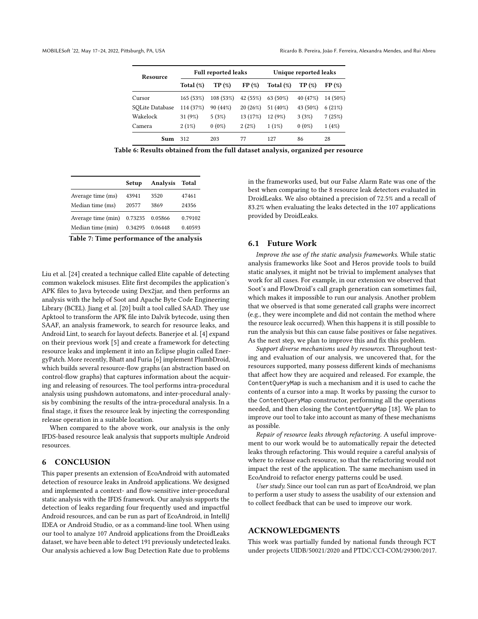<span id="page-9-0"></span>

| Resource        | <b>Full reported leaks</b> |           |          | Unique reported leaks |          |          |
|-----------------|----------------------------|-----------|----------|-----------------------|----------|----------|
|                 | Total $(\%)$               | TP(%)     | FP(%)    | Total (%)             | TP (%)   | FP(%)    |
| Cursor          | 165(53%)                   | 108 (53%) | 42 (55%) | $63(50\%)$            | 40 (47%) | 14 (50%) |
| SOLite Database | 114 (37%)                  | 90 (44%)  | 20 (26%) | 51 (40%)              | 43 (50%) | 6(21%)   |
| Wakelock        | $31(9\%)$                  | 5(3%)     | 13 (17%) | 12 (9%)               | 3(3%)    | 7(25%)   |
| Camera          | $2(1\%)$                   | $0(0\%)$  | $2(2\%)$ | $1(1\%)$              | $0(0\%)$ | 1(4%)    |
| Sum             | 312                        | 203       | 77       | 127                   | 86       | 28       |

Table 6: Results obtained from the full dataset analysis, organized per resource

<span id="page-9-1"></span>

|                    | Setup   | Analysis | Total   |
|--------------------|---------|----------|---------|
| Average time (ms)  | 43941   | 3520     | 47461   |
| Median time (ms)   | 20577   | 3869     | 24356   |
| Average time (min) | 0.73235 | 0.05866  | 0.79102 |
| Median time (min)  | 0.34295 | 0.06448  | 0.40593 |

Table 7: Time performance of the analysis

Liu et al. [\[24\]](#page-10-35) created a technique called Elite capable of detecting common wakelock misuses. Elite first decompiles the application's APK files to Java bytecode using Dex2jar, and then performs an analysis with the help of Soot and Apache Byte Code Engineering Library (BCEL). Jiang et al. [\[20\]](#page-10-31) built a tool called SAAD. They use Apktool to transform the APK file into Dalvik bytecode, using then SAAF, an analysis framework, to search for resource leaks, and Android Lint, to search for layout defects. Banerjee et al. [\[4\]](#page-10-36) expand on their previous work [\[5\]](#page-10-5) and create a framework for detecting resource leaks and implement it into an Eclipse plugin called EnergyPatch. More recently, Bhatt and Furia [\[6\]](#page-10-11) implement PlumbDroid, which builds several resource-flow graphs (an abstraction based on control-flow graphs) that captures information about the acquiring and releasing of resources. The tool performs intra-procedural analysis using pushdown automatons, and inter-procedural analysis by combining the results of the intra-procedural analysis. In a final stage, it fixes the resource leak by injecting the corresponding release operation in a suitable location.

When compared to the above work, our analysis is the only IFDS-based resource leak analysis that supports multiple Android resources.

## 6 CONCLUSION

This paper presents an extension of EcoAndroid with automated detection of resource leaks in Android applications. We designed and implemented a context- and flow-sensitive inter-procedural static analysis with the IFDS framework. Our analysis supports the detection of leaks regarding four frequently used and impactful Android resources, and can be run as part of EcoAndroid, in IntelliJ IDEA or Android Studio, or as a command-line tool. When using our tool to analyze 107 Android applications from the DroidLeaks dataset, we have been able to detect 191 previously undetected leaks. Our analysis achieved a low Bug Detection Rate due to problems in the frameworks used, but our False Alarm Rate was one of the best when comparing to the 8 resource leak detectors evaluated in DroidLeaks. We also obtained a precision of 72.5% and a recall of 83.2% when evaluating the leaks detected in the 107 applications provided by DroidLeaks.

### 6.1 Future Work

Improve the use of the static analysis frameworks. While static analysis frameworks like Soot and Heros provide tools to build static analyses, it might not be trivial to implement analyses that work for all cases. For example, in our extension we observed that Soot's and FlowDroid's call graph generation can sometimes fail, which makes it impossible to run our analysis. Another problem that we observed is that some generated call graphs were incorrect (e.g., they were incomplete and did not contain the method where the resource leak occurred). When this happens it is still possible to run the analysis but this can cause false positives or false negatives. As the next step, we plan to improve this and fix this problem.

Support diverse mechanisms used by resources. Throughout testing and evaluation of our analysis, we uncovered that, for the resources supported, many possess different kinds of mechanisms that affect how they are acquired and released. For example, the ContentQueryMap is such a mechanism and it is used to cache the contents of a cursor into a map. It works by passing the cursor to the ContentQueryMap constructor, performing all the operations needed, and then closing the ContentQueryMap [\[18\]](#page-10-37). We plan to improve our tool to take into account as many of these mechanisms as possible.

Repair of resource leaks through refactoring. A useful improvement to our work would be to automatically repair the detected leaks through refactoring. This would require a careful analysis of where to release each resource, so that the refactoring would not impact the rest of the application. The same mechanism used in EcoAndroid to refactor energy patterns could be used.

User study. Since our tool can run as part of EcoAndroid, we plan to perform a user study to assess the usability of our extension and to collect feedback that can be used to improve our work.

## ACKNOWLEDGMENTS

This work was partially funded by national funds through FCT under projects UIDB/50021/2020 and PTDC/CCI-COM/29300/2017.